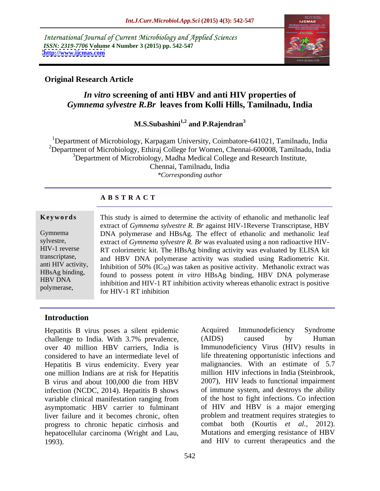International Journal of Current Microbiology and Applied Sciences *ISSN: 2319-7706* **Volume 4 Number 3 (2015) pp. 542-547 <http://www.ijcmas.com>**



# **Original Research Article**

# *In vitro* **screening of anti HBV and anti HIV properties of**  *Gymnema sylvestre R.Br* **leaves from Kolli Hills, Tamilnadu, India**

# **M.S.Subashini1,2 and P.Rajendran3**

<sup>1</sup>Department of Microbiology, Karpagam University, Coimbatore-641021, Tamilnadu, India <sup>2</sup>Department of Microbiology, Ethiraj College for Women, Chennai-600008, Tamilnadu, India <sup>3</sup>Department of Microbiology, Madha Medical College and Research Institute, Chennai, Tamilnadu, India *\*Corresponding author*

## **A B S T R A C T**

polymerase,

**Keywords** This study is aimed to determine the activity of ethanolic and methanolic leaf extract of *Gymnema sylvestre R. Br* against HIV-1Reverse Transcriptase, HBV DNA polymerase and HBsAg. The effect of ethanolic and methanolic leaf Gymnema sylvestre, extract of  $Gymnema$  sylvestre  $R$ . Br was evaluated using a non radioactive HIV-RT colorimetric kit. The HBsAg binding activity was evaluated by ELISA kit HIV-1 reverse transcriptase, and HBV DNA polymerase activity was studied using Radiometric Kit. anti HIV activity, Inhibition of 50%  $(\text{IC}_{50})$  was taken as positive activity. Methanolic extract was <br>HBsAg binding, found to possess potent in vitro HBsAg binding, HBV DNA polymerase found to possess potent *in vitro* HBsAg binding, HBV DNA polymerase HBV DNA<br>
inhibition and HIV-1 RT inhibition activity whereas ethanolic extract is positive for HIV-1 RT inhibition

## **Introduction**

Hepatitis B virus poses a silent epidemic Acquired Immunodeficiency Syndrome challenge to India. With 3.7% prevalence, (AIDS) caused by Human over 40 million HBV carriers, India is Immunodeficiency Virus (HIV) results in considered to have an intermediate level of life threatening opportunistic infections and Hepatitis B virus endemicity. Every year one million Indians are at risk for Hepatitis B virus and about 100,000 die from HBV infection (NCDC, 2014). Hepatitis B shows variable clinical manifestation ranging from asymptomatic HBV carrier to fulminant liver failure and it becomes chronic, often progress to chronic hepatic cirrhosis and hepatocellular carcinoma (Wright and Lau, 1993). and HIV to current therapeutics and the

Acquired Immunodeficiency Syndrome (AIDS) caused by Human malignancies. With an estimate of 5.7 million HIV infections in India (Steinbrook, 2007), HIV leads to functional impairment of immune system, and destroys the ability of the host to fight infections. Co infection of HIV and HBV is a major emerging problem and treatment requires strategies to combat both (Kourtis *et al.,* 2012). Mutations and emerging resistance of HBV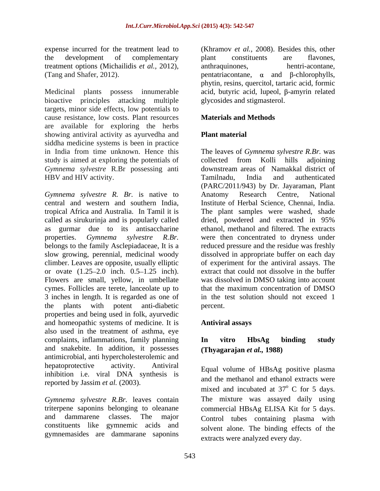treatment options (Michailidis *et al.,* 2012),

Medicinal plants possess innumerable acid, butyric acid, lupeol, β-amyrin related bioactive principles attacking multiple targets, minor side effects, low potentials to cause resistance, low costs. Plant resources are available for exploring the herbs showing antiviral activity as ayurvedha and **Plant material** siddha medicine systems is been in practice study is aimed at exploring the potentials of collected from Kolli hills adjoining *Gymnema sylvestre* R.Br possessing anti HBV and HIV activity. Tamilnadu, India and authenticated

*Gymnema sylvestre R. Br.* is native to central and western and southern India, tropical Africa and Australia. In Tamil it is The plant samples were washed, shade called as sirukurinja and is popularly called dried, powdered and extracted in 95% as gurmar due to its antisaccharine ethanol, methanol and filtered. The extracts properties. *Gymnema sylvestre R.Br.* were then concentrated to dryness under belongs to the family Asclepiadaceae, It is a reduced pressure and the residue was freshly slow growing, perennial, medicinal woody dissolved in appropriate buffer on each day climber. Leaves are opposite, usually elliptic of experiment for the antiviral assays. The or ovate  $(1.25-2.0)$  inch.  $0.5-1.25$  inch). extract that could not dissolve in the buffer Flowers are small, yellow, in umbellate was dissolved in DMSO taking into account cymes. Follicles are terete, lanceolate up to that the maximum concentration of DMSO 3 inches in length. It is regarded as one of the plants with potent anti-diabetic properties and being used in folk, ayurvedic and homeopathic systems of medicine. It is also used in the treatment of asthma, eye complaints, inflammations, family planning **In vitro HbsAg binding study** and snakebite. In addition, it possesses antimicrobial, anti hypercholesterolemic and hepatoprotective activity. Antiviral Equal volume of HBsAg positive plasma inhibition i.e. viral DNA synthesis is reported by Jassim *et al.* (2003).

*Gymnema sylvestre R.Br.* leaves contain constituents like gymnemic acids and gymnemasides are dammarane saponins

expense incurred for the treatment lead to (Khramov *et al.,* 2008). Besides this, other the development of complementary plant constituents are flavones, (Tang and Shafer, 2012).  $\alpha$  and  $\beta$ -chlorophylls, plant constituents are flavones, anthraquinones, hentri-acontane, phytin, resins, quercitol, tartaric acid, formic glycosides and stigmasterol.

# **Materials and Methods**

# **Plant material**

in India from time unknown. Hence this The leavesof *Gymnema sylvestre R.Br.* was collected from Kolli hills adjoining downstream areas of Namakkal district of Tamilnadu, India and authenticated (PARC/2011/943) by Dr. Jayaraman, Plant Anatomy Research Centre, National Institute of Herbal Science, Chennai, India. dried, powdered and extracted in 95% in the test solution should not exceed 1 percent.

## **Antiviral assays**

# **In vitro HbsAg binding study (Thyagarajan** *et al.,* **1988)**

triterpene saponins belonging to oleanane commercial HBsAg ELISA Kit for 5 days. and dammarene classes. The major Control tubes containing plasma with and the methanol and ethanol extracts were mixed and incubated at  $37^{\circ}$  C for 5 days. <sup>o</sup> C for 5 days. The mixture was assayed daily using solvent alone. The binding effects of the extracts were analyzed every day.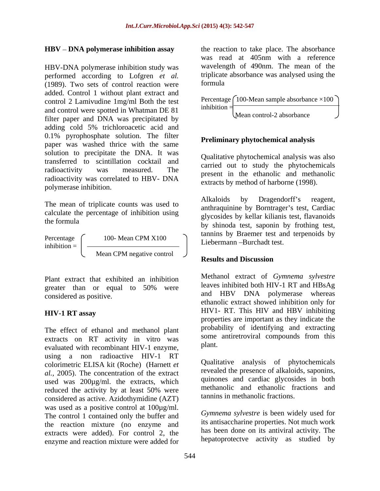## **HBV** – DNA polymerase inhibition assay

HBV-DNA polymerase inhibition study was performed according to Lofgren *et al.* triplicate<br>(1989) Two sets of control reaction were formula (1989). Two sets of control reaction were added. Control 1 without plant extract and control 2 Lamivudine 1mg/ml Both the test and control were spotted in Whatman DE 81  $\frac{1}{2}$  Mess served 2 sharehouse. filter paper and DNA was precipitated by adding cold 5% trichloroacetic acid and 0.1% pyrophosphate solution. The filter paper was washed thrice with the same solution to precipitate the DNA. It was transferred to scintillation cocktail and radioactivity was measured. The present in the ethanolic and methanolic resolution was expected to UDV. radioactivity was correlated to HBV- DNA polymerase inhibition.

calculate the percentage of inhibition using

Percentage  $\begin{pmatrix} 100 \text{ - Mean CPM X100} \\ 1000 \text{ - Mean CPM X100} \end{pmatrix}$  is become Durabel text  $\frac{1}{\text{inhibition}} = \frac{1}{\frac{1}{\text{institution}} = \frac{1}{\frac{1}{\text{institution}}}$ Mean CPM negative control  $\bigcup$ 

Plant extract that exhibited an inhibition greater than or equal to 50% were

The effect of ethanol and methanol plant extracts on RT activity in vitro was some<br>evaluated with recombinant HIV 1 enzyme plant. evaluated with recombinant HIV-1 enzyme, using a non radioactive HIV-1 RT colorimetric ELISA kit (Roche) (Harnett *et al.,* 2005). The concentration of the extract used was 200µg/ml. the extracts, which reduced the activity by at least 50% were considered as active. Azidothymidine (AZT) was used as a positive control at 100µg/ml. The control 1 contained only the buffer and the reaction mixture (no enzyme and extracts were added). For control 2, the enzyme and reaction mixture were added for

the reaction to take place. The absorbance was read at 405nm with a reference wavelength of 490nm. The mean of the triplicate absorbance was analysed using the formula

Percentage  $\int 100$ -Mean sample absorbance  $\times 100$ Mean control-2 absorbance  $\bigcup$ 

## **Preliminary phytochemical analysis**

Qualitative phytochemical analysis was also carried out to study the phytochemicals extracts by method of harborne (1998).

The mean of triplicate counts was used to<br>
The mean of triplicate counts was used to<br>
The number of the Demtregal's test Centine the formula<br>by shinoda test, saponin by frothing test, Alkaloids by Dragendorff's reagent, anthraquinine by Borntrager's test, Cardiac glycosides by kellar kilianis test, flavanoids tannins by Braemer test and terpenoids by Liebermann-Burchadt test.

## **Results and Discussion**

e and HBV DNA polymerase whereas considered as positive. **HIV-1 RT assay HIVI- RT.** This HIV and HBV inhibiting Methanol extract of *Gymnema sylvestre* leaves inhibited both HIV-1 RT and HBsAg ethanolic extract showed inhibition only for HIV1- RT. This HIV and HBV inhibiting properties are important as they indicate the probability of identifying and extracting some antiretroviral compounds from this plant.

> Qualitative analysis of phytochemicals revealed the presence of alkaloids, saponins, quinones and cardiac glycosides in both methanolic and ethanolic fractions and tannins in methanolic fractions.

> *Gymnema sylvestre* is been widely used for its antisaccharine properties. Not much work has been done on its antiviral activity. The hepatoprotectve activity as studied by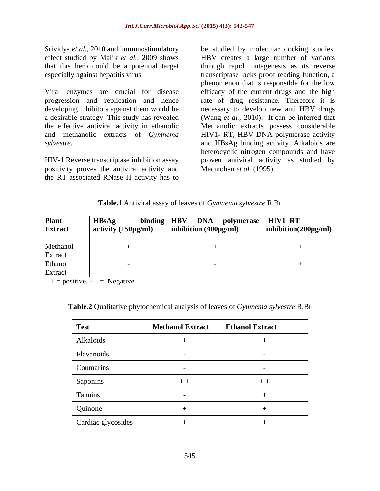Viral enzymes are crucial for disease progression and replication and hence rate of drug resistance. Therefore it is developing inhibitors against them would be necessary to develop new anti HBV drugs a desirable strategy. This study has revealed (Wang *et al.,* 2010). It can be inferred that the effective antiviral activity in ethanolic and methanolic extracts of *Gymnema*  HIV1- RT, HBV DNA polymerase activity

HIV-1 Reverse transcriptase inhibition assay positivity proves the antiviral activity and the RT associated RNase H activity has to

Srividya *et al.,* 2010 and immunostimulatory be studied by molecular docking studies. effect studied by Malik *et al.,* 2009 shows HBV creates a large number of variants that this herb could be a potential target through rapid mutagenesis as its reverse especially against hepatitis virus. transcriptase lacks proof reading function, a *sylvestre.* and HBsAg binding activity. Alkaloids are phenomenon that is responsible for the low efficacy of the current drugs and the high Methanolic extracts possess considerable heterocyclic nitrogen compounds and have proven antiviral activity as studied by Macmohan *et al.* (1995).

## **Table.1** Antiviral assay of leaves of *Gymnema sylvestre* R.Br

| Plant<br><b>Extract</b> | <b>HBsAg</b><br>$\alpha$ activity (150µg/ml) | $\begin{array}{ c c c c c }\hline \text{binding} & \text{HBV} & \text{DNA} & \text{polymerase} & \text{HIV1–RT} \cr \hline \text{µg/ml)} & \text{inhibition (400µg/ml)} & \text{inhibition (20\cr\hline \end{array}$ |                          |
|-------------------------|----------------------------------------------|----------------------------------------------------------------------------------------------------------------------------------------------------------------------------------------------------------------------|--------------------------|
|                         |                                              |                                                                                                                                                                                                                      | $\ln$ hibition(200µg/ml) |
| Methanol                |                                              |                                                                                                                                                                                                                      |                          |
| Extract                 |                                              |                                                                                                                                                                                                                      |                          |
| Ethanol                 |                                              |                                                                                                                                                                                                                      |                          |
| Extract                 |                                              |                                                                                                                                                                                                                      |                          |

 $+$  = positive, - = Negative

| Test               | <b>Methanol Extract</b> | <b>Ethanol Extract</b> |
|--------------------|-------------------------|------------------------|
| Alkaloids          |                         |                        |
| Flavanoids         |                         |                        |
| Coumarins          |                         |                        |
| Saponins           | $++$                    | $+ +$                  |
| Tannins            |                         |                        |
| Quinone            |                         |                        |
| Cardiac glycosides |                         |                        |

**Table.2** Qualitative phytochemical analysis of leaves of *Gymnema sylvestre* R.Br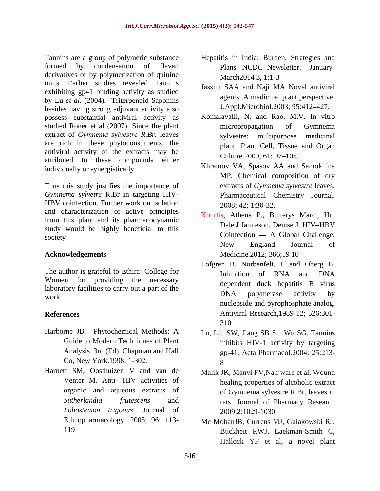Tannins are a group of polymeric substance Hepatitis in India: Burden, Strategies and formed by condensation of flavan Plans. NCDC Newsletter. January derivatives or by polymerization of quinine<br>March2014 3, 1:1-3 units. Earlier studies revealed Tannins exhibiting gp41 binding activity as studied by Lu *et al.* (2004). Triterpenoid Saponins besides having strong adjuvant activity also possess substantial antiviral activity as studied Roner et al (2007). Since the plant micropropagation of Gymnema extract of *Gymnema sylvestre R.Br.* leaves are rich in these phytoconstituents, the antiviral activity of the extracts may be Culture.2000; 61: 97–105. attributed to these compounds either individually or synergistically.

Thus this study justifies the importance of *Gymnema sylvetre* R.Br in targeting HIV- HBV coinfection. Further work on isolation and characterization of active principles from this plant and its pharmacodynamic<br>bale. Jamieson, Denise J. HIV-HBV study would be highly beneficial to this society coinfection - A Global Challenge.

The author is grateful to Ethiraj College for<br>
Inhibition of RNA and DNA Women for providing the necessary laboratory facilities to carry out a part of the<br>DNA polymerase activity by work. Worker's work.

- Harborne JB. Phytochemical Methods: A Analysis. 3rd (Ed). Chapman and Hall Co, New York.1998; 1-302.
- Harnett SM, Oosthuizen V and van de Malik JK, Manvi FV,Nanjware et al, Wound organic and aqueous extracts of *Lobostemon trigonus*. Journal of
- March2014 3, 1:1-3
- Jassim SAA and Naji MA Novel antiviral agents: A medicinal plant perspective. J.Appl.Microbiol.2003; 95:412-427.
- Komalavalli, N. and Rao, M.V. In vitro micropropagation of Gymnema sylvestre: multipurpose plant. Plant Cell, Tissue and Organ Culture.2000; 61: 97–105.
- Khramov VA, Spasov AA and Samokhina MP. Chemical composition of dry extracts of *Gymnema sylvestre* leaves. Pharmaceutical Chemistry Journal. 2008; 42; 1:30-32.
- Acknowledgements Medicine.2012; 366;19 10 Kourtis, Athena P., Bulterys Marc., Hu, Dale.J Jamieson, Denise J. HIV-HBV New England Journal of Medicine.2012; 366;19 10
- **References** Antiviral Research,1989 12; 526:301- Lofgren B, Norbenfelt. E and Oberg B. Inhibition of RNA and DNA dependent duck hepatitis B virus DNA polymerase activity by nucleoside and pyrophosphate analog. 310
	- Guide to Modern Techniques of Plant inhibits HIV-1 activity by targeting Lu, Liu SW, Jiang SB Sin,Wu SG. Tannins gp-41. Acta Pharmacol.2004; 25:213- 8
	- Venter M. Anti- HIV activities of healing properties of alcoholic extract *Sutherlandia frutescens* and rats. Journal of Pharmacy Research of Gymnema sylvestre R.Br. leaves in 2009;2:1029-1030
	- Ethnopharmacology. 2005; 96: 113- Mc MohanJB, Currens MJ, Gulakowski RJ, 119 Buckheit RWJ, Laekman-Smith C, Hallock YF et al, a novel plant